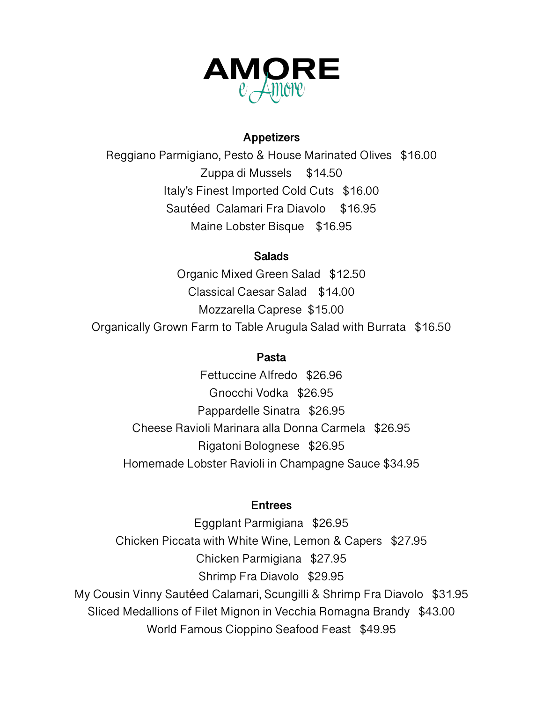

# **Appetizers**

Reggiano Parmigiano, Pesto & House Marinated Olives \$16.00 Zuppa di Mussels \$14.50 Italy's Finest Imported Cold Cuts \$16.00 Sautéed Calamari Fra Diavolo \$16.95 Maine Lobster Bisque \$16.95

## **Salads**

Organic Mixed Green Salad \$12.50 Classical Caesar Salad \$14.00 Mozzarella Caprese \$15.00 Organically Grown Farm to Table Arugula Salad with Burrata \$16.50

## **Pasta**

Fettuccine Alfredo \$26.96 Gnocchi Vodka \$26.95 Pappardelle Sinatra \$26.95 Cheese Ravioli Marinara alla Donna Carmela \$26.95 Rigatoni Bolognese \$26.95 Homemade Lobster Ravioli in Champagne Sauce \$34.95

## **Entrees**

Eggplant Parmigiana \$26.95 Chicken Piccata with White Wine, Lemon & Capers \$27.95 Chicken Parmigiana \$27.95 Shrimp Fra Diavolo \$29.95 My Cousin Vinny Sautéed Calamari, Scungilli & Shrimp Fra Diavolo \$31.95 Sliced Medallions of Filet Mignon in Vecchia Romagna Brandy \$43.00 World Famous Cioppino Seafood Feast \$49.95